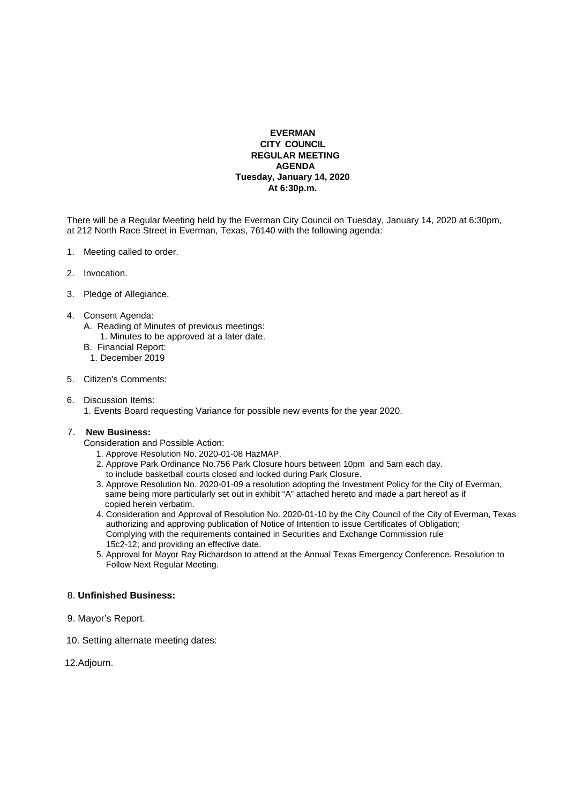## **EVERMAN CITY COUNCIL REGULAR MEETING AGENDA Tuesday, January 14, 2020 At 6:30p.m.**

There will be a Regular Meeting held by the Everman City Council on Tuesday, January 14, 2020 at 6:30pm, at 212 North Race Street in Everman, Texas, 76140 with the following agenda:

- 1. Meeting called to order.
- 2. Invocation.
- 3. Pledge of Allegiance.
- 4. Consent Agenda:
	- A. Reading of Minutes of previous meetings:
		- 1. Minutes to be approved at a later date.
	- B. Financial Report:
	- 1. December 2019
- 5. Citizen's Comments:
- 6. Discussion Items:
	- 1. Events Board requesting Variance for possible new events for the year 2020.

## 7. **New Business:**

Consideration and Possible Action:

- 1. Approve Resolution No. 2020-01-08 HazMAP.
- 2. Approve Park Ordinance No.756 Park Closure hours between 10pm and 5am each day. to include basketball courts closed and locked during Park Closure.
- 3. Approve Resolution No. 2020-01-09 a resolution adopting the Investment Policy for the City of Everman, same being more particularly set out in exhibit "A" attached hereto and made a part hereof as if copied herein verbatim.
- 4. Consideration and Approval of Resolution No. 2020-01-10 by the City Council of the City of Everman, Texas authorizing and approving publication of Notice of Intention to issue Certificates of Obligation; Complying with the requirements contained in Securities and Exchange Commission rule 15c2-12; and providing an effective date.
- 5. Approval for Mayor Ray Richardson to attend at the Annual Texas Emergency Conference. Resolution to Follow Next Regular Meeting.

## 8. **Unfinished Business:**

- 9. Mayor's Report.
- 10. Setting alternate meeting dates:

12.Adjourn.